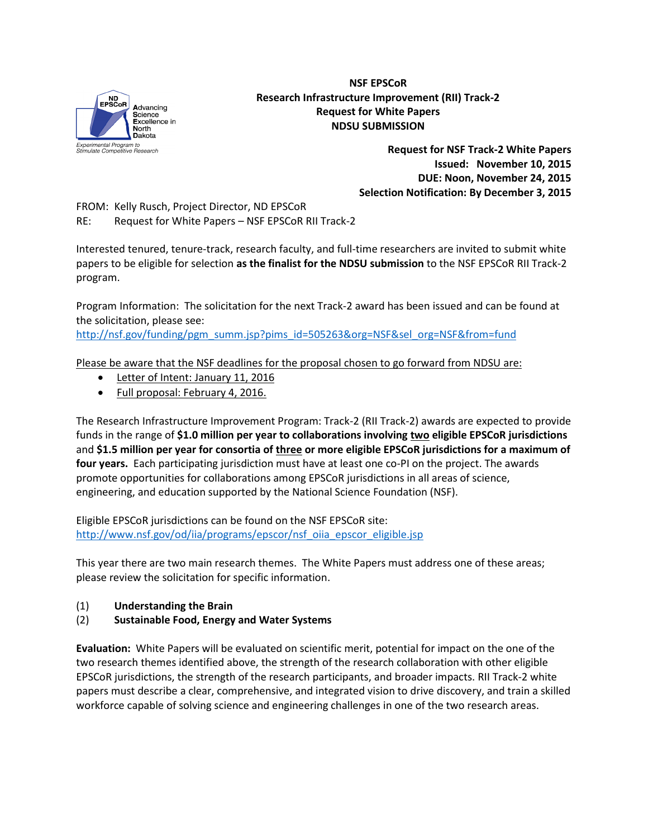

## **NSF EPSCoR Research Infrastructure Improvement (RII) Track-2 Request for White Papers NDSU SUBMISSION**

**Request for NSF Track-2 White Papers Issued: November 10, 2015 DUE: Noon, November 24, 2015 Selection Notification: By December 3, 2015**

FROM: Kelly Rusch, Project Director, ND EPSCoR

RE: Request for White Papers – NSF EPSCoR RII Track-2

Interested tenured, tenure-track, research faculty, and full-time researchers are invited to submit white papers to be eligible for selection **as the finalist for the NDSU submission** to the NSF EPSCoR RII Track-2 program.

Program Information: The solicitation for the next Track-2 award has been issued and can be found at the solicitation, please see:

[http://nsf.gov/funding/pgm\\_summ.jsp?pims\\_id=505263&org=NSF&sel\\_org=NSF&from=fund](http://nsf.gov/funding/pgm_summ.jsp?pims_id=505263&org=NSF&sel_org=NSF&from=fund)

Please be aware that the NSF deadlines for the proposal chosen to go forward from NDSU are:

- Letter of Intent: January 11, 2016
- Full proposal: February 4, 2016.

The Research Infrastructure Improvement Program: Track-2 (RII Track-2) awards are expected to provide funds in the range of **\$1.0 million per year to collaborations involving two eligible EPSCoR jurisdictions** and **\$1.5 million per year for consortia of three or more eligible EPSCoR jurisdictions for a maximum of four years.** Each participating jurisdiction must have at least one co-PI on the project. The awards promote opportunities for collaborations among EPSCoR jurisdictions in all areas of science, engineering, and education supported by the National Science Foundation (NSF).

Eligible EPSCoR jurisdictions can be found on the NSF EPSCoR site: [http://www.nsf.gov/od/iia/programs/epscor/nsf\\_oiia\\_epscor\\_eligible.jsp](http://www.nsf.gov/od/iia/programs/epscor/nsf_oiia_epscor_eligible.jsp)

This year there are two main research themes. The White Papers must address one of these areas; please review the solicitation for specific information.

(1) **Understanding the Brain**

## (2) **Sustainable Food, Energy and Water Systems**

**Evaluation:** White Papers will be evaluated on scientific merit, potential for impact on the one of the two research themes identified above, the strength of the research collaboration with other eligible EPSCoR jurisdictions, the strength of the research participants, and broader impacts. RII Track-2 white papers must describe a clear, comprehensive, and integrated vision to drive discovery, and train a skilled workforce capable of solving science and engineering challenges in one of the two research areas.